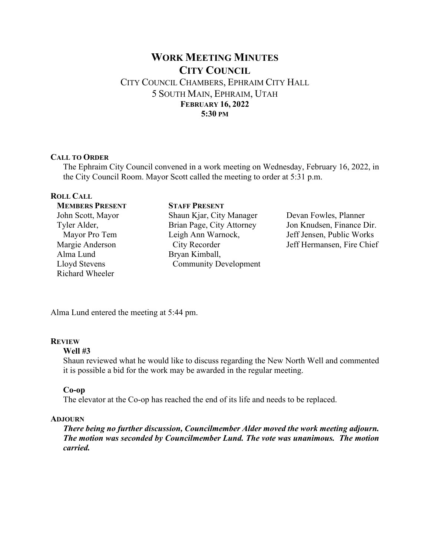# **WORK MEETING MINUTES CITY COUNCIL**  CITY COUNCIL CHAMBERS, EPHRAIM CITY HALL 5 SOUTH MAIN, EPHRAIM, UTAH **FEBRUARY 16, 2022 5:30 PM**

### **CALL TO ORDER**

The Ephraim City Council convened in a work meeting on Wednesday, February 16, 2022, in the City Council Room. Mayor Scott called the meeting to order at 5:31 p.m.

## **ROLL CALL**

**MEMBERS PRESENT** John Scott, Mayor Tyler Alder, Mayor Pro Tem Margie Anderson Alma Lund Lloyd Stevens Richard Wheeler

**STAFF PRESENT** Shaun Kjar, City Manager Brian Page, City Attorney Leigh Ann Warnock, City Recorder Bryan Kimball, Community Development

Devan Fowles, Planner Jon Knudsen, Finance Dir. Jeff Jensen, Public Works Jeff Hermansen, Fire Chief

Alma Lund entered the meeting at 5:44 pm.

## **REVIEW**

#### **Well #3**

Shaun reviewed what he would like to discuss regarding the New North Well and commented it is possible a bid for the work may be awarded in the regular meeting.

#### **Co-op**

The elevator at the Co-op has reached the end of its life and needs to be replaced.

### **ADJOURN**

*There being no further discussion, Councilmember Alder moved the work meeting adjourn. The motion was seconded by Councilmember Lund. The vote was unanimous. The motion carried.*